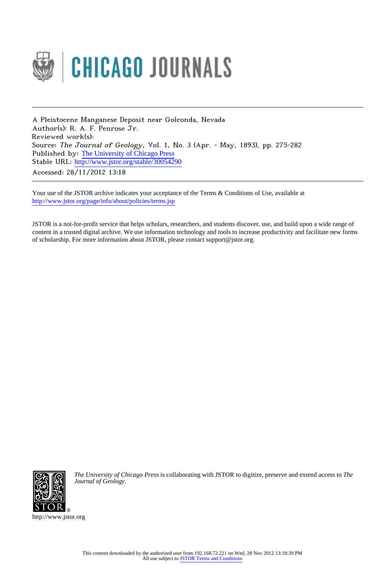

A Pleistocene Manganese Deposit near Golconda, Nevada Author(s): R. A. F. Penrose Jr. Reviewed work(s): Source: The Journal of Geology, Vol. 1, No. 3 (Apr. - May, 1893), pp. 275-282 Published by: [The University of Chicago Press](http://www.jstor.org/action/showPublisher?publisherCode=ucpress) Stable URL: http://www.jstor.org/stable/30054290 Accessed: 28/11/2012 13:18

Your use of the JSTOR archive indicates your acceptance of the Terms & Conditions of Use, available at <http://www.jstor.org/page/info/about/policies/terms.jsp>

JSTOR is a not-for-profit service that helps scholars, researchers, and students discover, use, and build upon a wide range of content in a trusted digital archive. We use information technology and tools to increase productivity and facilitate new forms of scholarship. For more information about JSTOR, please contact support@jstor.org.



*The University of Chicago Press* is collaborating with JSTOR to digitize, preserve and extend access to *The Journal of Geology.*

http://www.jstor.org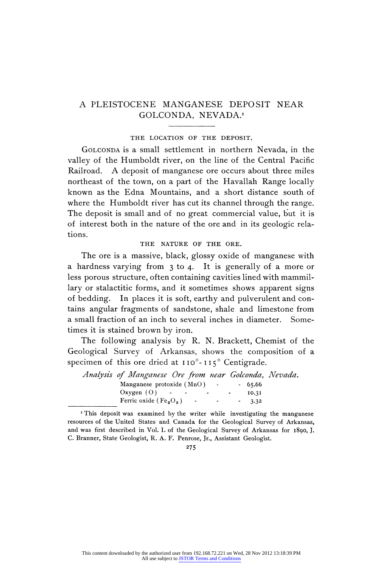# **A PLEISTOCENE MANGANESE DEPOSIT NEAR GOLCONDA, NEVADA.'**

### **THE LOCATION OF THE DEPOSIT.**

**GOLCONDA is a small settlement in northern Nevada, in the valley of the Humboldt river, on the line of the Central Pacific Railroad. A deposit of manganese ore occurs about three miles northeast of the town, on a part of the Havallah Range locally known as the Edna Mountains, and a short distance south of where the Humboldt river has cut its channel through the range.**  The deposit is small and of no great commercial value, but it is **of interest both in the nature of the ore and in its geologic relations.** 

## **THE NATURE OF THE ORE.**

**The ore is a massive, black, glossy oxide of manganese with a hardness varying from 3 to 4. It is generally of a more or less porous structure, often containing cavities lined with mammillary or stalactitic forms, and it sometimes shows apparent signs**  In places it is soft, earthy and pulverulent and con**tains angular fragments of sandstone, shale and limestone from**  a small fraction of an inch to several inches in diameter. **times it is stained brown by iron.** 

**The following analysis by R. N. Brackett, Chemist of the Geological Survey of Arkansas, shows the composition of a specimen of this ore dried at 110°- 115° Centigrade.** 

**Analysis of Manganese Ore from near Golconda, Nevada.** 

| Manganese protoxide (MnO)                     | $\blacksquare$ |                              | $-65.66$ |
|-----------------------------------------------|----------------|------------------------------|----------|
| Oxygen $(O) -$                                |                | ٠                            | 10.31    |
| Ferric oxide ( $Fe8O8$ )<br>$\hbox{\small -}$ | -              | $\qquad \qquad \blacksquare$ | 3.32     |

**<sup>&#</sup>x27;This deposit was examined by the writer while investigating the manganese resources of the United States and Canada for the Geological Survey of Arkansas, and was first described in Vol. I. of the Geological Survey of Arkansas for 1890, J. C. Branner, State Geologist, R. A. F. Penrose, Jr., Assistant Geologist.**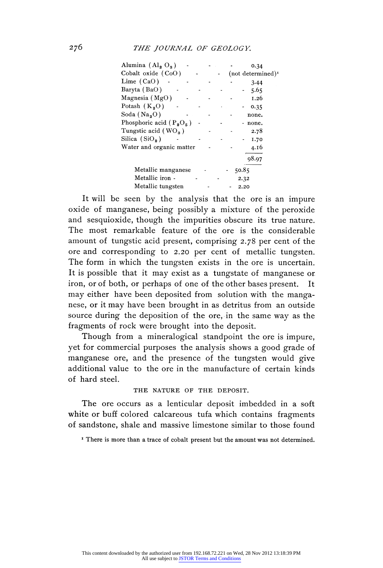| Alumina $(Al_2 O_2)$       |  |  | 0.34                                           |
|----------------------------|--|--|------------------------------------------------|
| Cobalt oxide (CoO)         |  |  | (not determined) <sup><math>\cdot</math></sup> |
| Lime $(CaO)$               |  |  | 3.44                                           |
| Baryta (BaO)               |  |  | 5.65                                           |
| Magnesia ( $MgO$ )         |  |  | 1.26                                           |
| Potash $(K_2O)$            |  |  | 0.35                                           |
| Soda $(Na9O)$              |  |  | none.                                          |
| Phosphoric acid $(P_8O_5)$ |  |  | none.                                          |
| Tungstic acid ( $WOa$ )    |  |  | 2.78                                           |
| Silica $(SiO_9)$           |  |  | 1.70                                           |
| Water and organic matter   |  |  | 4.16                                           |
|                            |  |  | 98.97                                          |
| Metallic manganese         |  |  | 50.85                                          |
| Metallic iron -            |  |  | 2.32                                           |
| Metallic tungsten          |  |  | 2.20                                           |
|                            |  |  |                                                |

**It will be seen by the analysis that the ore is an impure oxide of manganese, being possibly a mixture of the peroxide and sesquioxide, though the impurities obscure its true nature. The most remarkable feature of the ore is the considerable amount of tungstic acid present, comprising 2.78 per cent of the ore and corresponding to 2.20 per cent of metallic tungsten. The form in which the tungsten exists in the ore is uncertain. It is possible that it may exist as a tungstate of manganese or iron, or of both, or perhaps of one of the other bases present. It may either have been deposited from solution with the manganese, or it may have been brought in as detritus from an outside source during the deposition of the ore, in the same way as the fragments of rock were brought into the deposit.** 

**Though from a mineralogical standpoint the ore is impure, yet for commercial purposes the analysis shows a good grade of manganese ore, and the presence of the tungsten would give additional value to the ore in the manufacture of certain kinds of hard steel.** 

### **THE NATURE OF THE DEPOSIT.**

**The ore occurs as a lenticular deposit imbedded in a soft white or buff colored calcareous tufa which contains fragments of sandstone, shale and massive limestone similar to those found** 

<sup>1</sup> There is more than a trace of cobalt present but the amount was not determined.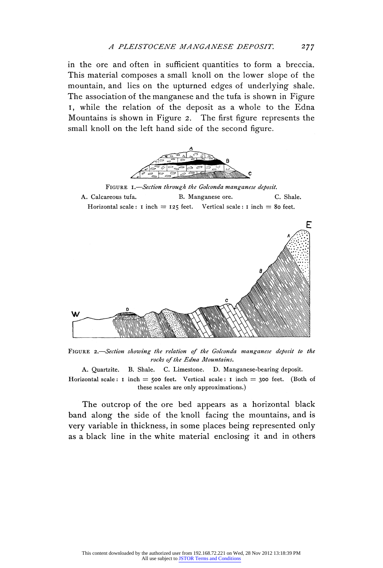**277** 

**in the ore and often in sufficient quantities to form a breccia. This material composes a small knoll on the lower slope of the mountain, and lies on the upturned edges of underlying shale. The association of the manganese and the tufa is shown in Figure I, while the relation of the deposit as a whole to the Edna Mountains is shown in Figure 2. The first figure represents the small knoll on the left hand side of the second figure.** 



FIGURE 1.-Section through the Golconda manganese deposit. **A. Calcareous tufa. B. Manganese ore. C. Shale. Horizontal scale: 1** inch  $= 125$  **feet.** Vertical scale: **1** inch  $= 80$  **feet.** 



**FIGURE 2.-Section showing the relation of the Golconda manganese deposit to the rocks of the Edna Mountains.** 

**A. Quartzite. Horizontal scale: I inch = 500 feet. Vertical scale: I inch = 300 feet. (Both of B. Shale. C. Limestone. D. Manganese-bearing deposit. these scales are only approximations.)** 

**The outcrop of the ore bed appears as a horizontal black band along the side of the knoll facing the mountains, and is very variable in thickness, in some places being represented only as a black line in the white material enclosing it and in others** 

This content downloaded by the authorized user from 192.168.72.221 on Wed, 28 Nov 2012 13:18:39 PM All use subject to [JSTOR Terms and Conditions](http://www.jstor.org/page/info/about/policies/terms.jsp)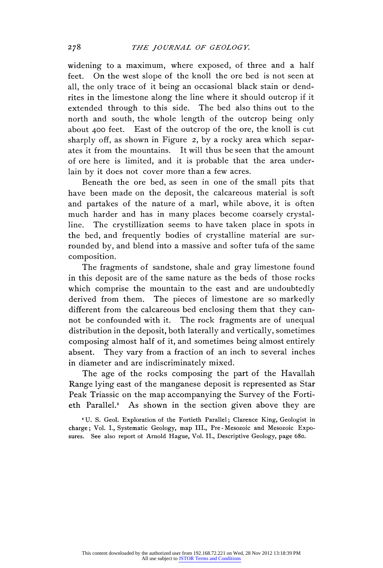**widening to a maximum, where exposed, of three and a half**  On the west slope of the knoll the ore bed is not seen at **all, the only trace of it being an occasional black stain or dendrites in the limestone along the line where it should outcrop if it extended through to this side. The bed also thins out to the north and south, the whole length of the outcrop being only about 400 feet. East of the outcrop of the ore, the knoll is cut sharply off, as shown in Figure 2, by a rocky area which separates it from the mountains. It will thus be seen that the amount of ore here is limited, and it is probable that the area underlain by it does not cover more than a few acres.** 

**Beneath the ore bed, as seen in one of the small pits that have been made on the deposit, the calcareous material is soft and partakes of the nature of a marl, while above, it is often much harder and has in many places become coarsely crystalline. The crystillization seems to have taken place in spots in the bed, and frequently bodies of crystalline material are surrounded by, and blend into a massive and softer tufa of the same composition.** 

**The fragments of sandstone, shale and gray limestone found in this deposit are of the same nature as the beds of those rocks which comprise the mountain to the east and are undoubtedly**  The pieces of limestone are so markedly **different from the calcareous bed enclosing them that they cannot be confounded with it. The rock fragments are of unequal distribution in the deposit, both laterally and vertically, sometimes composing almost half of it, and sometimes being almost entirely absent. They vary from a fraction of an inch to several inches in diameter and are indiscriminately mixed.** 

**The age of the rocks composing the part of the Havallah Range lying east of the manganese deposit is represented as Star Peak Triassic on the map accompanying the Survey of the Fortieth Parallel.1 As shown in the section given above they are** 

**'U. S. Geol. Exploration of the Fortieth Parallel; Clarence King, Geologist in charge; Vol. I., Systematic Geology, map III., Pre - Mesozoic and Mesozoic Exposures. See also report of Arnold Hague, Vol. II., Descriptive Geology, page 68o.**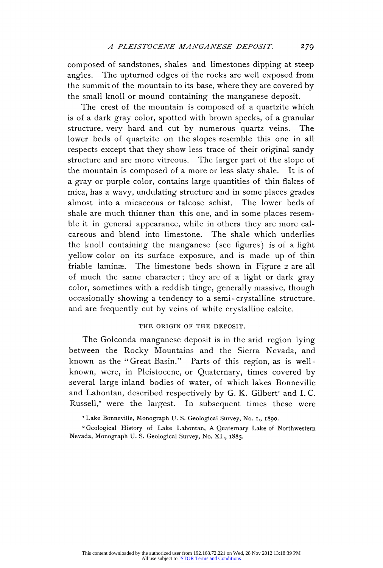**279** 

**composed of sandstones, shales and limestones dipping at steep**  The upturned edges of the rocks are well exposed from **the summit of the mountain to its base, where they are covered by the small knoll or mound containing the manganese deposit.** 

**The crest of the mountain is composed of a quartzite which is of a dark gray color, spotted with brown specks, of a granular structure, very hard and cut by numerous quartz veins. The lower beds of quartzite on the slopes resemble this one in all respects except that they show less trace of their original sandy structure and are more vitreous. The larger part of the slope of the mountain is composed of a more or less slaty shale. It is of a gray or purple color, contains large quantities of thin flakes of mica, has a wavy, undulating structure and in some places grades almost into a micaceous or talcose schist. The lower beds of shale are much thinner than this one, and in some places resemble it in general appearance, while in others they are more calcareous and blend into limestone. The shale which underlies the knoll containing the manganese (see figures) is of a light yellow color on its surface exposure, and is made up of thin**  friable laminæ. The limestone beds shown in Figure 2 are all **of much the same character; they are of a light or dark gray color, sometimes with a reddish tinge, generally massive, though occasionally showing a tendency to a semi- crystalline structure, and are frequently cut by veins of white crystalline calcite.** 

### **THE ORIGIN OF THE DEPOSIT.**

**The Golconda manganese deposit is in the arid region lying between the Rocky Mountains and the Sierra Nevada, and known as the "Great Basin." Parts of this region, as is wellknown, were, in Pleistocene, or Quaternary, times covered by several large inland bodies of water, of which lakes Bonneville and Lahontan, described respectively by G. K. Gilbert' and I. C. Russell," were the largest. In subsequent times these were** 

<sup>&</sup>lt;sup>1</sup> Lake Bonneville, Monograph U. S. Geological Survey, No. 1., 1890.

**<sup>2</sup>Geological History of Lake Lahontan, A Quaternary Lake of Northwestern Nevada, Monograph U. S. Geological Survey, No. XI., 1885.**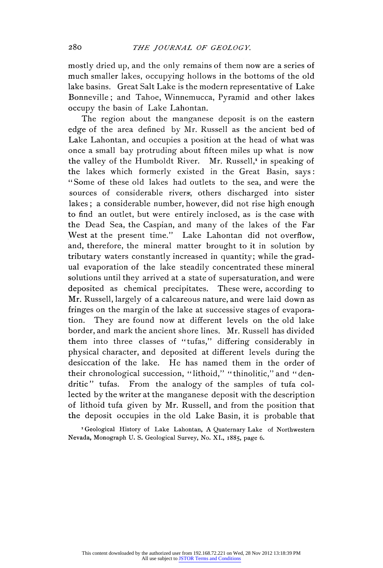**mostly dried up, and the only remains of them now are a series of much smaller lakes, occupying hollows in the bottoms of the old lake basins. Great Salt Lake is the modern representative of Lake Bonneville; and Tahoe, Winnemucca, Pyramid and other lakes occupy the basin of Lake Lahontan.** 

**The region about the manganese deposit is on the eastern edge of the area defined by Mr. Russell as the ancient bed of Lake Lahontan, and occupies a position at the head of what was once a small bay protruding about fifteen miles up what is now the valley of the Humboldt River. Mr. Russell,' in speaking of the lakes which formerly existed in the Great Basin, says: "Some of these old lakes had outlets to the sea, and were the**  sources of considerable rivers, others discharged into sister **lakes; a considerable number, however, did not rise high enough to find an outlet, but were entirely inclosed, as is the case with the Dead Sea, the Caspian, and many of the lakes of the Far West at the present time." Lake Lahontan did not overflow, and, therefore, the mineral matter brought to it in solution by tributary waters constantly increased in quantity; while the gradual evaporation of the lake steadily concentrated these mineral solutions until they arrived at a state of supersaturation, and were deposited as chemical precipitates. These were, according to Mr. Russell, largely of a calcareous nature, and were laid down as fringes on the margin of the lake at successive stages of evapora-**They are found now at different levels on the old lake **border, and mark the ancient shore lines. Mr. Russell has divided them into three classes of "tufas," differing considerably in physical character, and deposited at different levels during the desiccation of the lake. He has named them in the order of their chronological succession, "lithoid," "thinolitic," and "dendritic" tufas. From the analogy of the samples of tufa collected by the writer at the manganese deposit with the description of lithoid tufa given by Mr. Russell, and from the position that the deposit occupies in the old Lake Basin, it is probable that** 

<sup>1</sup> Geological History of Lake Lahontan, A Quaternary Lake of Northwestern **Nevada, Monograph U. S. Geological Survey, No. XI., 1885, page 6.**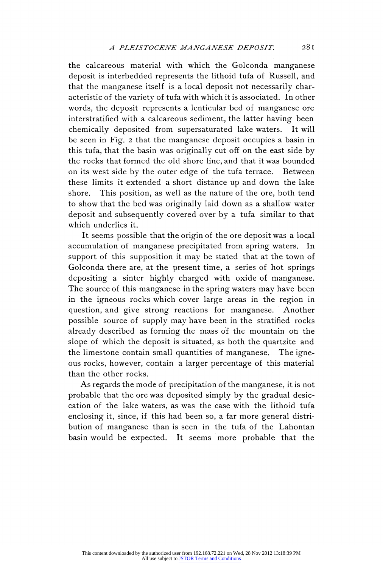**the calcareous material with which the Golconda manganese deposit is interbedded represents the lithoid tufa of Russell, and that the manganese itself is a local deposit not necessarily characteristic of the variety of tufa with which it is associated. In other words, the deposit represents a lenticular bed of manganese ore interstratified with a calcareous sediment, the latter having been chemically deposited from supersaturated lake waters. It will be seen in Fig. 2 that the manganese deposit occupies a basin in this tufa, that the basin was originally cut off on the east side by the rocks that formed the old shore line, and that it was bounded on its west side by the outer edge of the tufa terrace. Between these limits it extended a short distance up and down the lake shore. This position, as well as the nature of the ore, both tend to show that the bed was originally laid down as a shallow water deposit and subsequently covered over by a tufa similar to that which underlies it.** 

**It seems possible that the origin of the ore deposit was a local accumulation of manganese precipitated from spring waters. In support of this supposition it may be stated that at the town of Golconda there are, at the present time, a series of hot springs depositing a sinter highly charged with oxide of manganese. The source of this manganese in the spring waters may have been in the igneous rocks which cover large areas in the region in question, and give strong reactions for manganese. Another possible source of supply may have been in the stratified rocks already described as forming the mass of the mountain on the slope of which the deposit is situated, as both the quartzite and the limestone contain small quantities of manganese. The igneous rocks, however, contain a larger percentage of this material than the other rocks.** 

**As regards the mode of precipitation of the manganese, it is not probable that the ore was deposited simply by the gradual desiccation of the lake waters, as was the case with the lithoid tufa enclosing it, since, if this had been so, a far more general distribution of manganese than is seen in the tufa of the Lahontan basin would be expected. It seems more probable that the** 

**28I**